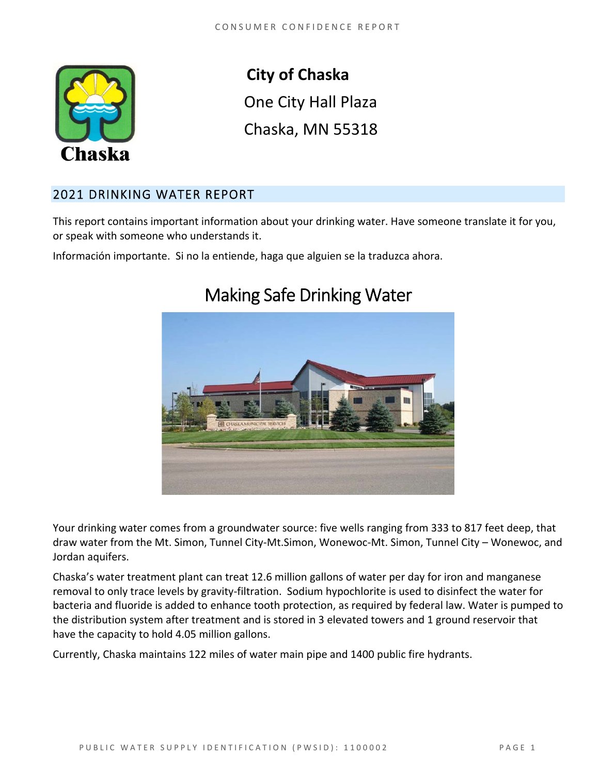

**City of Chaska**  One City Hall Plaza Chaska, MN 55318

# 2021 DRINKING WATER REPORT

This report contains important information about your drinking water. Have someone translate it for you, or speak with someone who understands it.

Información importante. Si no la entiende, haga que alguien se la traduzca ahora.



# Making Safe Drinking Water

Your drinking water comes from a groundwater source: five wells ranging from 333 to 817 feet deep, that draw water from the Mt. Simon, Tunnel City‐Mt.Simon, Wonewoc‐Mt. Simon, Tunnel City – Wonewoc, and Jordan aquifers.

Chaska's water treatment plant can treat 12.6 million gallons of water per day for iron and manganese removal to only trace levels by gravity‐filtration. Sodium hypochlorite is used to disinfect the water for bacteria and fluoride is added to enhance tooth protection, as required by federal law. Water is pumped to the distribution system after treatment and is stored in 3 elevated towers and 1 ground reservoir that have the capacity to hold 4.05 million gallons.

Currently, Chaska maintains 122 miles of water main pipe and 1400 public fire hydrants.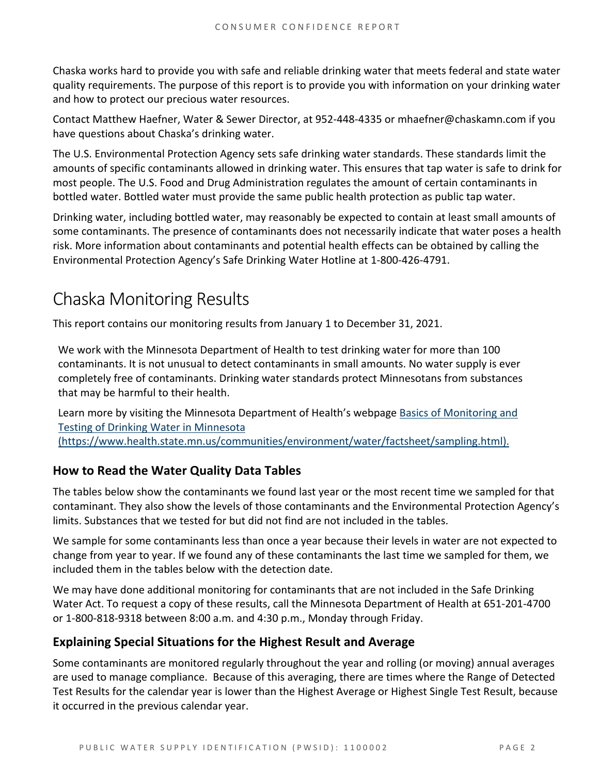Chaska works hard to provide you with safe and reliable drinking water that meets federal and state water quality requirements. The purpose of this report is to provide you with information on your drinking water and how to protect our precious water resources.

Contact Matthew Haefner, Water & Sewer Director, at 952‐448‐4335 or mhaefner@chaskamn.com if you have questions about Chaska's drinking water.

The U.S. Environmental Protection Agency sets safe drinking water standards. These standards limit the amounts of specific contaminants allowed in drinking water. This ensures that tap water is safe to drink for most people. The U.S. Food and Drug Administration regulates the amount of certain contaminants in bottled water. Bottled water must provide the same public health protection as public tap water.

Drinking water, including bottled water, may reasonably be expected to contain at least small amounts of some contaminants. The presence of contaminants does not necessarily indicate that water poses a health risk. More information about contaminants and potential health effects can be obtained by calling the Environmental Protection Agency's Safe Drinking Water Hotline at 1‐800‐426‐4791.

# Chaska Monitoring Results

This report contains our monitoring results from January 1 to December 31, 2021.

We work with the Minnesota Department of Health to test drinking water for more than 100 contaminants. It is not unusual to detect contaminants in small amounts. No water supply is ever completely free of contaminants. Drinking water standards protect Minnesotans from substances that may be harmful to their health.

Learn more by visiting the Minnesota Department of Health's webpage Basics of Monitoring and Testing of Drinking Water in Minnesota (https://www.health.state.mn.us/communities/environment/water/factsheet/sampling.html).

# **How to Read the Water Quality Data Tables**

The tables below show the contaminants we found last year or the most recent time we sampled for that contaminant. They also show the levels of those contaminants and the Environmental Protection Agency's limits. Substances that we tested for but did not find are not included in the tables.

We sample for some contaminants less than once a year because their levels in water are not expected to change from year to year. If we found any of these contaminants the last time we sampled for them, we included them in the tables below with the detection date.

We may have done additional monitoring for contaminants that are not included in the Safe Drinking Water Act. To request a copy of these results, call the Minnesota Department of Health at 651‐201‐4700 or 1‐800‐818‐9318 between 8:00 a.m. and 4:30 p.m., Monday through Friday.

# **Explaining Special Situations for the Highest Result and Average**

Some contaminants are monitored regularly throughout the year and rolling (or moving) annual averages are used to manage compliance. Because of this averaging, there are times where the Range of Detected Test Results for the calendar year is lower than the Highest Average or Highest Single Test Result, because it occurred in the previous calendar year.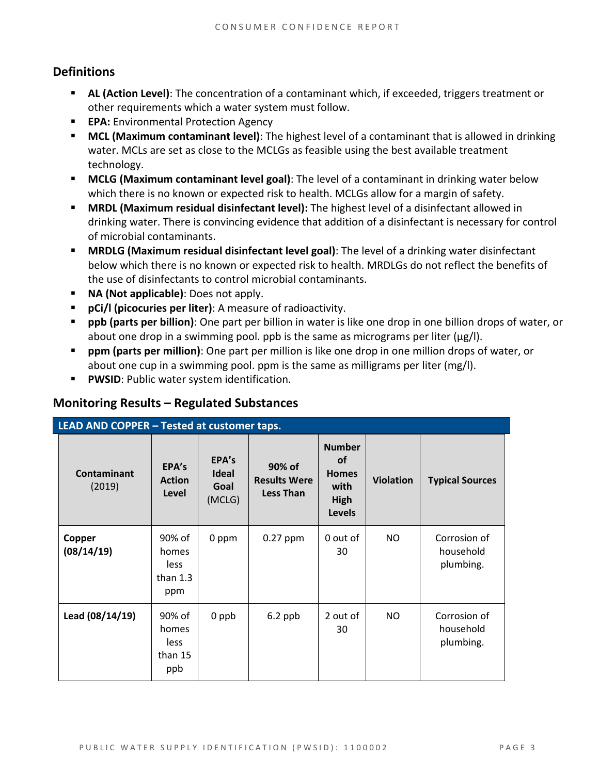# **Definitions**

- other requirements which a water system must follow. **AL (Action Level)**: The concentration of a contaminant which, if exceeded, triggers treatment or
- **EPA:** Environmental Protection Agency
- **MCL (Maximum contaminant level)**: The highest level of a contaminant that is allowed in drinking water. MCLs are set as close to the MCLGs as feasible using the best available treatment technology.
- **MCLG (Maximum contaminant level goal)**: The level of a contaminant in drinking water below which there is no known or expected risk to health. MCLGs allow for a margin of safety.
- **MRDL (Maximum residual disinfectant level):** The highest level of a disinfectant allowed in drinking water. There is convincing evidence that addition of a disinfectant is necessary for control of microbial contaminants.
- **MRDLG (Maximum residual disinfectant level goal)**: The level of a drinking water disinfectant below which there is no known or expected risk to health. MRDLGs do not reflect the benefits of the use of disinfectants to control microbial contaminants.
- **NA (Not applicable)**: Does not apply.
- **pCi/l (picocuries per liter)**: A measure of radioactivity.
- **ppb (parts per billion)**: One part per billion in water is like one drop in one billion drops of water, or about one drop in a swimming pool. ppb is the same as micrograms per liter ( $\mu$ g/l).
- **ppm (parts per million)**: One part per million is like one drop in one million drops of water, or about one cup in a swimming pool. ppm is the same as milligrams per liter (mg/l).
- **PWSID:** Public water system identification.

# **Monitoring Results – Regulated Substances**

| LEAD AND COPPER - Tested at customer taps. |                                              |                                         |                                                   |                                                                             |                  |                                        |
|--------------------------------------------|----------------------------------------------|-----------------------------------------|---------------------------------------------------|-----------------------------------------------------------------------------|------------------|----------------------------------------|
| Contaminant<br>(2019)                      | EPA's<br><b>Action</b><br>Level              | EPA's<br><b>Ideal</b><br>Goal<br>(MCLG) | 90% of<br><b>Results Were</b><br><b>Less Than</b> | <b>Number</b><br><b>of</b><br><b>Homes</b><br>with<br>High<br><b>Levels</b> | <b>Violation</b> | <b>Typical Sources</b>                 |
| Copper<br>(08/14/19)                       | 90% of<br>homes<br>less<br>than $1.3$<br>ppm | 0 ppm                                   | $0.27$ ppm                                        | 0 out of<br>30                                                              | NO               | Corrosion of<br>household<br>plumbing. |
| Lead (08/14/19)                            | 90% of<br>homes<br>less<br>than 15<br>ppb    | 0 ppb                                   | $6.2$ ppb                                         | 2 out of<br>30                                                              | NO               | Corrosion of<br>household<br>plumbing. |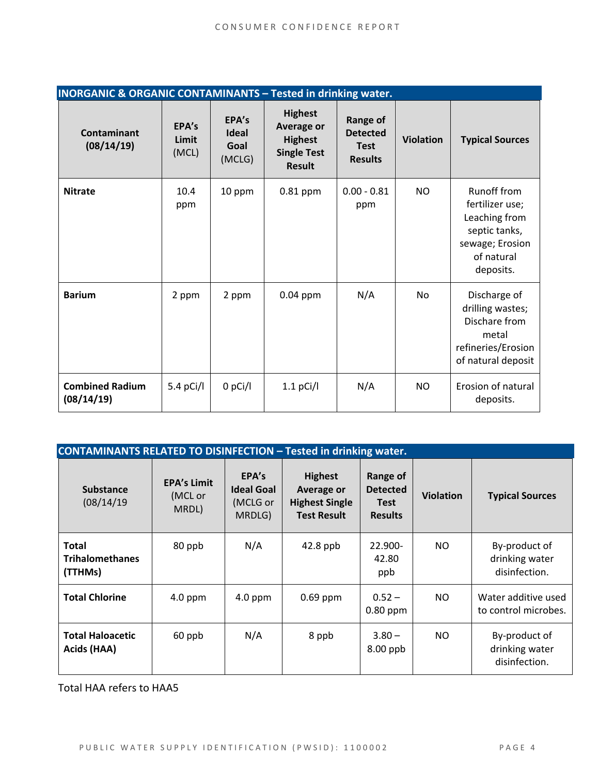| <b>INORGANIC &amp; ORGANIC CONTAMINANTS - Tested in drinking water.</b> |                         |                                         |                                                                                              |                                                                     |                  |                                                                                                                       |
|-------------------------------------------------------------------------|-------------------------|-----------------------------------------|----------------------------------------------------------------------------------------------|---------------------------------------------------------------------|------------------|-----------------------------------------------------------------------------------------------------------------------|
| <b>Contaminant</b><br>(08/14/19)                                        | EPA's<br>Limit<br>(MCL) | EPA's<br><b>Ideal</b><br>Goal<br>(MCLG) | <b>Highest</b><br><b>Average or</b><br><b>Highest</b><br><b>Single Test</b><br><b>Result</b> | <b>Range of</b><br><b>Detected</b><br><b>Test</b><br><b>Results</b> | <b>Violation</b> | <b>Typical Sources</b>                                                                                                |
| <b>Nitrate</b>                                                          | 10.4<br>ppm             | 10 ppm                                  | $0.81$ ppm                                                                                   | $0.00 - 0.81$<br>ppm                                                | <b>NO</b>        | <b>Runoff from</b><br>fertilizer use;<br>Leaching from<br>septic tanks,<br>sewage; Erosion<br>of natural<br>deposits. |
| <b>Barium</b>                                                           | 2 ppm                   | 2 ppm                                   | $0.04$ ppm                                                                                   | N/A                                                                 | No               | Discharge of<br>drilling wastes;<br>Dischare from<br>metal<br>refineries/Erosion<br>of natural deposit                |
| <b>Combined Radium</b><br>(08/14/19)                                    | 5.4 pCi/l               | $0$ pCi/l                               | $1.1$ pCi/l                                                                                  | N/A                                                                 | <b>NO</b>        | Erosion of natural<br>deposits.                                                                                       |

| <b>CONTAMINANTS RELATED TO DISINFECTION - Tested in drinking water.</b> |                                        |                                                  |                                                                                    |                                                              |                  |                                                  |
|-------------------------------------------------------------------------|----------------------------------------|--------------------------------------------------|------------------------------------------------------------------------------------|--------------------------------------------------------------|------------------|--------------------------------------------------|
| <b>Substance</b><br>(08/14/19)                                          | <b>EPA's Limit</b><br>(MCL or<br>MRDL) | EPA's<br><b>Ideal Goal</b><br>(MCLG or<br>MRDLG) | <b>Highest</b><br><b>Average or</b><br><b>Highest Single</b><br><b>Test Result</b> | Range of<br><b>Detected</b><br><b>Test</b><br><b>Results</b> | <b>Violation</b> | <b>Typical Sources</b>                           |
| <b>Total</b><br><b>Trihalomethanes</b><br>(TTHMs)                       | 80 ppb                                 | N/A                                              | $42.8$ ppb                                                                         | 22.900-<br>42.80<br>ppb                                      | NO.              | By-product of<br>drinking water<br>disinfection. |
| <b>Total Chlorine</b>                                                   | $4.0$ ppm                              | $4.0$ ppm                                        | $0.69$ ppm                                                                         | $0.52 -$<br>$0.80$ ppm                                       | NO.              | Water additive used<br>to control microbes.      |
| <b>Total Haloacetic</b><br>Acids (HAA)                                  | 60 ppb                                 | N/A                                              | 8 ppb                                                                              | $3.80 -$<br>$8.00$ ppb                                       | NO.              | By-product of<br>drinking water<br>disinfection. |

Total HAA refers to HAA5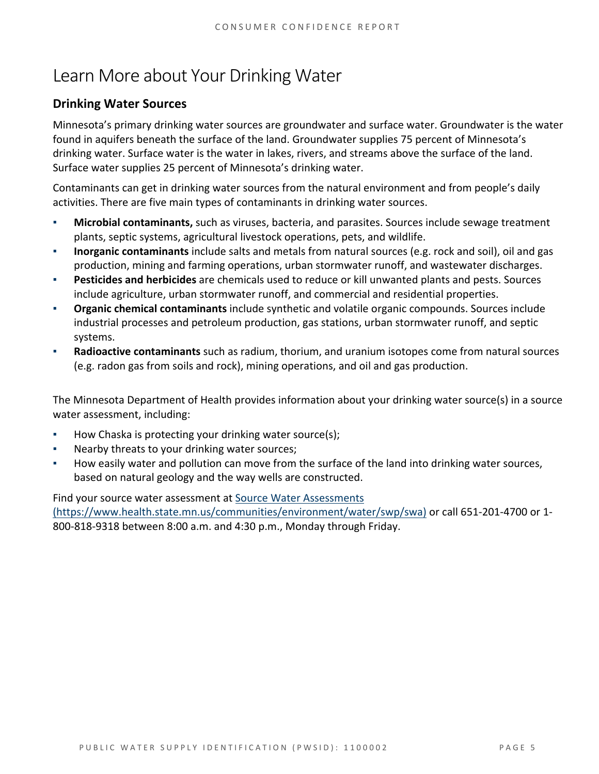# Learn More about Your Drinking Water

# **Drinking Water Sources**

Minnesota's primary drinking water sources are groundwater and surface water. Groundwater is the water found in aquifers beneath the surface of the land. Groundwater supplies 75 percent of Minnesota's drinking water. Surface water is the water in lakes, rivers, and streams above the surface of the land. Surface water supplies 25 percent of Minnesota's drinking water.

Contaminants can get in drinking water sources from the natural environment and from people's daily activities. There are five main types of contaminants in drinking water sources.

- **Microbial contaminants,** such as viruses, bacteria, and parasites. Sources include sewage treatment plants, septic systems, agricultural livestock operations, pets, and wildlife.
- **Inorganic contaminants** include salts and metals from natural sources (e.g. rock and soil), oil and gas production, mining and farming operations, urban stormwater runoff, and wastewater discharges.
- **Pesticides and herbicides** are chemicals used to reduce or kill unwanted plants and pests. Sources include agriculture, urban stormwater runoff, and commercial and residential properties.
- **Organic chemical contaminants** include synthetic and volatile organic compounds. Sources include industrial processes and petroleum production, gas stations, urban stormwater runoff, and septic systems.
- **Radioactive contaminants** such as radium, thorium, and uranium isotopes come from natural sources (e.g. radon gas from soils and rock), mining operations, and oil and gas production.

The Minnesota Department of Health provides information about your drinking water source(s) in a source water assessment, including:

- How Chaska is protecting your drinking water source(s);
- Nearby threats to your drinking water sources;
- How easily water and pollution can move from the surface of the land into drinking water sources, based on natural geology and the way wells are constructed.

Find your source water assessment at Source Water Assessments

(https://www.health.state.mn.us/communities/environment/water/swp/swa) or call 651‐201‐4700 or 1‐ 800‐818‐9318 between 8:00 a.m. and 4:30 p.m., Monday through Friday.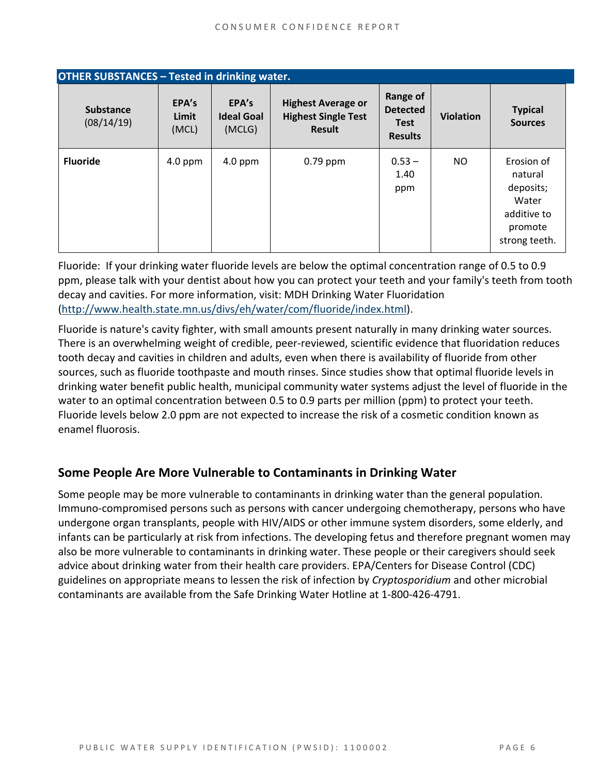| <b>OTHER SUBSTANCES - Tested in drinking water.</b> |                         |                                      |                                                                   |                                                              |                  |                                                                                        |
|-----------------------------------------------------|-------------------------|--------------------------------------|-------------------------------------------------------------------|--------------------------------------------------------------|------------------|----------------------------------------------------------------------------------------|
| <b>Substance</b><br>(08/14/19)                      | EPA's<br>Limit<br>(MCL) | EPA's<br><b>Ideal Goal</b><br>(MCLG) | <b>Highest Average or</b><br><b>Highest Single Test</b><br>Result | Range of<br><b>Detected</b><br><b>Test</b><br><b>Results</b> | <b>Violation</b> | <b>Typical</b><br><b>Sources</b>                                                       |
| <b>Fluoride</b>                                     | $4.0$ ppm               | $4.0$ ppm                            | $0.79$ ppm                                                        | $0.53 -$<br>1.40<br>ppm                                      | NO.              | Erosion of<br>natural<br>deposits;<br>Water<br>additive to<br>promote<br>strong teeth. |

Fluoride: If your drinking water fluoride levels are below the optimal concentration range of 0.5 to 0.9 ppm, please talk with your dentist about how you can protect your teeth and your family's teeth from tooth decay and cavities. For more information, visit: MDH Drinking Water Fluoridation (http://www.health.state.mn.us/divs/eh/water/com/fluoride/index.html).

Fluoride is nature's cavity fighter, with small amounts present naturally in many drinking water sources. There is an overwhelming weight of credible, peer‐reviewed, scientific evidence that fluoridation reduces tooth decay and cavities in children and adults, even when there is availability of fluoride from other sources, such as fluoride toothpaste and mouth rinses. Since studies show that optimal fluoride levels in drinking water benefit public health, municipal community water systems adjust the level of fluoride in the water to an optimal concentration between 0.5 to 0.9 parts per million (ppm) to protect your teeth. Fluoride levels below 2.0 ppm are not expected to increase the risk of a cosmetic condition known as enamel fluorosis.

# **Some People Are More Vulnerable to Contaminants in Drinking Water**

Some people may be more vulnerable to contaminants in drinking water than the general population. Immuno‐compromised persons such as persons with cancer undergoing chemotherapy, persons who have undergone organ transplants, people with HIV/AIDS or other immune system disorders, some elderly, and infants can be particularly at risk from infections. The developing fetus and therefore pregnant women may also be more vulnerable to contaminants in drinking water. These people or their caregivers should seek advice about drinking water from their health care providers. EPA/Centers for Disease Control (CDC) guidelines on appropriate means to lessen the risk of infection by *Cryptosporidium* and other microbial contaminants are available from the Safe Drinking Water Hotline at 1‐800‐426‐4791.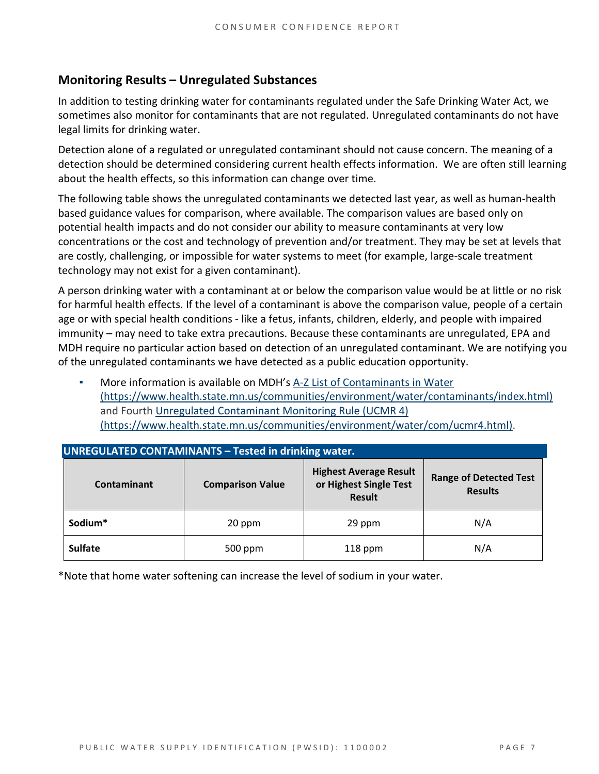# **Monitoring Results – Unregulated Substances**

In addition to testing drinking water for contaminants regulated under the Safe Drinking Water Act, we sometimes also monitor for contaminants that are not regulated. Unregulated contaminants do not have legal limits for drinking water.

Detection alone of a regulated or unregulated contaminant should not cause concern. The meaning of a detection should be determined considering current health effects information. We are often still learning about the health effects, so this information can change over time.

The following table shows the unregulated contaminants we detected last year, as well as human‐health based guidance values for comparison, where available. The comparison values are based only on potential health impacts and do not consider our ability to measure contaminants at very low concentrations or the cost and technology of prevention and/or treatment. They may be set at levels that are costly, challenging, or impossible for water systems to meet (for example, large-scale treatment technology may not exist for a given contaminant).

A person drinking water with a contaminant at or below the comparison value would be at little or no risk for harmful health effects. If the level of a contaminant is above the comparison value, people of a certain age or with special health conditions ‐ like a fetus, infants, children, elderly, and people with impaired immunity – may need to take extra precautions. Because these contaminants are unregulated, EPA and MDH require no particular action based on detection of an unregulated contaminant. We are notifying you of the unregulated contaminants we have detected as a public education opportunity.

More information is available on MDH's A-Z List of Contaminants in Water (https://www.health.state.mn.us/communities/environment/water/contaminants/index.html) and Fourth Unregulated Contaminant Monitoring Rule (UCMR 4) (https://www.health.state.mn.us/communities/environment/water/com/ucmr4.html).

| <b>UNREGULATED CONTAMINANTS - Tested in drinking water.</b> |                         |                                                                          |                                                 |  |  |  |  |
|-------------------------------------------------------------|-------------------------|--------------------------------------------------------------------------|-------------------------------------------------|--|--|--|--|
| Contaminant                                                 | <b>Comparison Value</b> | <b>Highest Average Result</b><br>or Highest Single Test<br><b>Result</b> | <b>Range of Detected Test</b><br><b>Results</b> |  |  |  |  |
| Sodium*                                                     | 20 ppm                  | 29 ppm                                                                   | N/A                                             |  |  |  |  |
| <b>Sulfate</b>                                              | 500 ppm                 | $118$ ppm                                                                | N/A                                             |  |  |  |  |

\*Note that home water softening can increase the level of sodium in your water.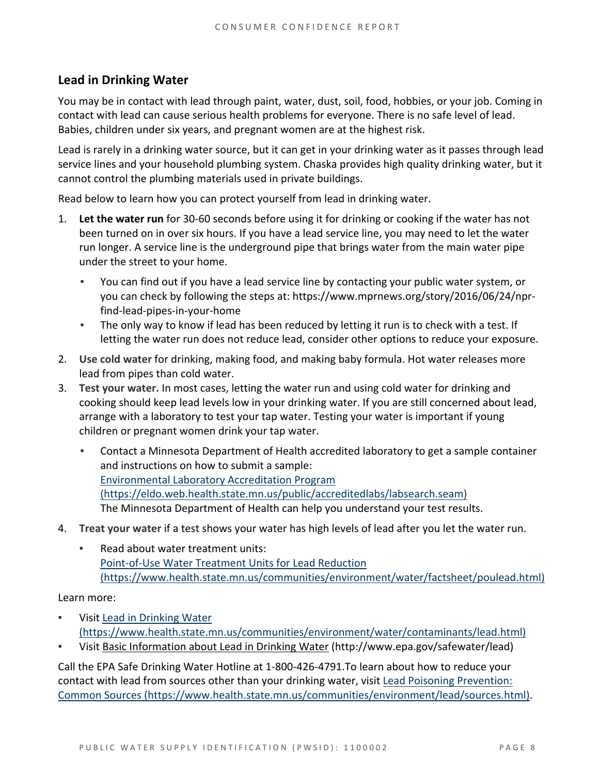### **Lead in Drinking Water**

You may be in contact with lead through paint, water, dust, soil, food, hobbies, or your job. Coming in contact with lead can cause serious health problems for everyone. There is no safe level of lead. Babies, children under six years, and pregnant women are at the highest risk.

Lead is rarely in a drinking water source, but it can get in your drinking water as it passes through lead service lines and your household plumbing system. Chaska provides high quality drinking water, but it cannot control the plumbing materials used in private buildings.

Read below to learn how you can protect yourself from lead in drinking water.

- 1. Let the water run for 30-60 seconds before using it for drinking or cooking if the water has not been turned on in over six hours. If you have a lead service line, you may need to let the water run longer. A service line is the underground pipe that brings water from the main water pipe under the street to your home.
	- ▪ You can find out if you have a lead service line by contacting your public water system, or you can check by following the steps at: https://www.mprnews.org/story/2016/06/24/npr‐ find‐lead‐pipes‐in‐your‐home
	- **•** The only way to know if lead has been reduced by letting it run is to check with a test. If letting the water run does not reduce lead, consider other options to reduce your exposure.
- 2. Use cold water for drinking, making food, and making baby formula. Hot water releases more lead from pipes than cold water.
- 3. **Test your water.** In most cases, letting the water run and using cold water for drinking and cooking should keep lead levels low in your drinking water. If you are still concerned about lead, arrange with a laboratory to test your tap water. Testing your water is important if young children or pregnant women drink your tap water.
	- (https://eldo.web.health.state.mn.us/public/accreditedlabs/labsearch.seam) Contact a Minnesota Department of Health accredited laboratory to get a sample container and instructions on how to submit a sample: Environmental Laboratory Accreditation Program The Minnesota Department of Health can help you understand your test results.
- 4. **Treat your water** if a test shows your water has high levels of lead after you let the water run.
	- Read about water treatment units: Point‐of‐Use Water Treatment Units for Lead Reduction (https://www.health.state.mn.us/communities/environment/water/factsheet/poulead.html)

Learn more:

- **•** Visit Lead in Drinking Water (https://www.health.state.mn.us/communities/environment/water/contaminants/lead.html)
- ▪ Visit Basic Information about Lead in Drinking Water (http://www.epa.gov/safewater/lead)

Call the EPA Safe Drinking Water Hotline at 1‐800‐426‐4791.To learn about how to reduce your contact with lead from sources other than your drinking water, visit Lead Poisoning Prevention: Common Sources (https://www.health.state.mn.us/communities/environment/lead/sources.html).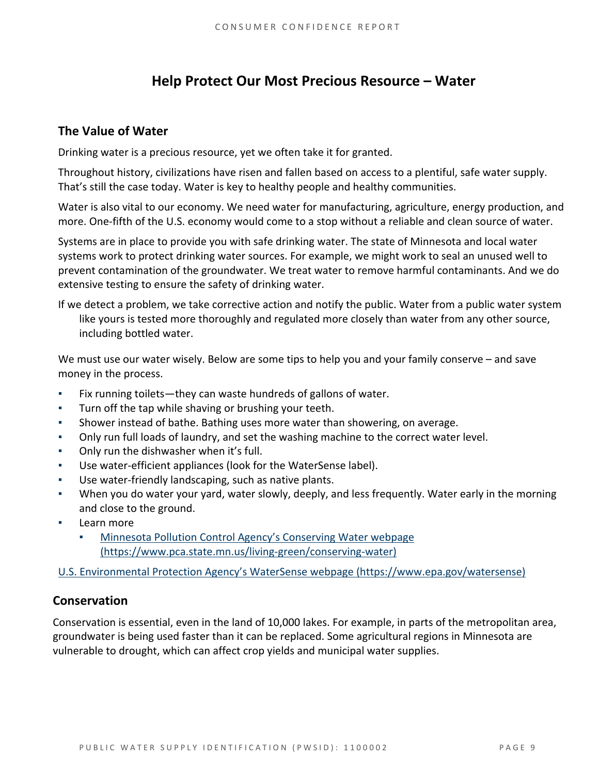# **Help Protect Our Most Precious Resource – Water**

### **The Value of Water**

Drinking water is a precious resource, yet we often take it for granted.

Throughout history, civilizations have risen and fallen based on access to a plentiful, safe water supply. That's still the case today. Water is key to healthy people and healthy communities.

Water is also vital to our economy. We need water for manufacturing, agriculture, energy production, and more. One-fifth of the U.S. economy would come to a stop without a reliable and clean source of water.

Systems are in place to provide you with safe drinking water. The state of Minnesota and local water systems work to protect drinking water sources. For example, we might work to seal an unused well to prevent contamination of the groundwater. We treat water to remove harmful contaminants. And we do extensive testing to ensure the safety of drinking water.

If we detect a problem, we take corrective action and notify the public. Water from a public water system like yours is tested more thoroughly and regulated more closely than water from any other source, including bottled water.

We must use our water wisely. Below are some tips to help you and your family conserve – and save money in the process.

- **•** Fix running toilets—they can waste hundreds of gallons of water.
- **•** Turn off the tap while shaving or brushing your teeth.
- **EXED** Shower instead of bathe. Bathing uses more water than showering, on average.
- **•** Only run full loads of laundry, and set the washing machine to the correct water level.
- **•** Only run the dishwasher when it's full.
- Use water-efficient appliances (look for the WaterSense label).
- Use water-friendly landscaping, such as native plants.
- When you do water your yard, water slowly, deeply, and less frequently. Water early in the morning and close to the ground.
- Learn more
	- Minnesota Pollution Control Agency's Conserving Water webpage (https://www.pca.state.mn.us/living‐green/conserving‐water)

U.S. Environmental Protection Agency's WaterSense webpage (https://www.epa.gov/watersense)

### **Conservation**

Conservation is essential, even in the land of 10,000 lakes. For example, in parts of the metropolitan area, groundwater is being used faster than it can be replaced. Some agricultural regions in Minnesota are vulnerable to drought, which can affect crop yields and municipal water supplies.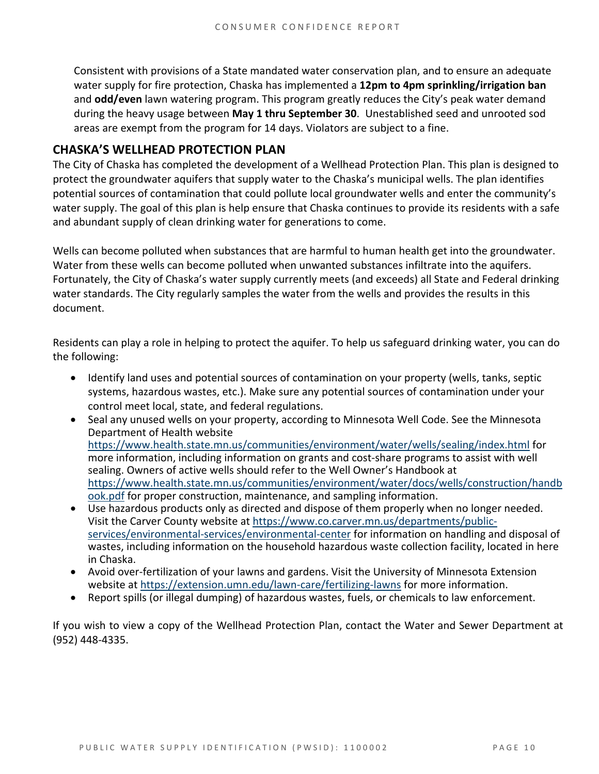Consistent with provisions of a State mandated water conservation plan, and to ensure an adequate water supply for fire protection, Chaska has implemented a **12pm to 4pm sprinkling/irrigation ban** and **odd/even** lawn watering program. This program greatly reduces the City's peak water demand during the heavy usage between **May 1 thru September 30**. Unestablished seed and unrooted sod areas are exempt from the program for 14 days. Violators are subject to a fine.

### **CHASKA'S WELLHEAD PROTECTION PLAN**

The City of Chaska has completed the development of a Wellhead Protection Plan. This plan is designed to protect the groundwater aquifers that supply water to the Chaska's municipal wells. The plan identifies potential sources of contamination that could pollute local groundwater wells and enter the community's water supply. The goal of this plan is help ensure that Chaska continues to provide its residents with a safe and abundant supply of clean drinking water for generations to come.

Wells can become polluted when substances that are harmful to human health get into the groundwater. Water from these wells can become polluted when unwanted substances infiltrate into the aquifers. Fortunately, the City of Chaska's water supply currently meets (and exceeds) all State and Federal drinking water standards. The City regularly samples the water from the wells and provides the results in this document.

Residents can play a role in helping to protect the aquifer. To help us safeguard drinking water, you can do the following:

- Identify land uses and potential sources of contamination on your property (wells, tanks, septic systems, hazardous wastes, etc.). Make sure any potential sources of contamination under your control meet local, state, and federal regulations.
- Seal any unused wells on your property, according to Minnesota Well Code. See the Minnesota Department of Health website https://www.health.state.mn.us/communities/environment/water/wells/sealing/index.html for more information, including information on grants and cost-share programs to assist with well sealing. Owners of active wells should refer to the Well Owner's Handbook at https://www.health.state.mn.us/communities/environment/water/docs/wells/construction/handb ook.pdf for proper construction, maintenance, and sampling information.
- Use hazardous products only as directed and dispose of them properly when no longer needed. Visit the Carver County website at https://www.co.carver.mn.us/departments/public‐ services/environmental-services/environmental-center for information on handling and disposal of wastes, including information on the household hazardous waste collection facility, located in here in Chaska.
- Avoid over-fertilization of your lawns and gardens. Visit the University of Minnesota Extension website at https://extension.umn.edu/lawn-care/fertilizing-lawns for more information.
- Report spills (or illegal dumping) of hazardous wastes, fuels, or chemicals to law enforcement.

 If you wish to view a copy of the Wellhead Protection Plan, contact the Water and Sewer Department at (952) 448‐4335.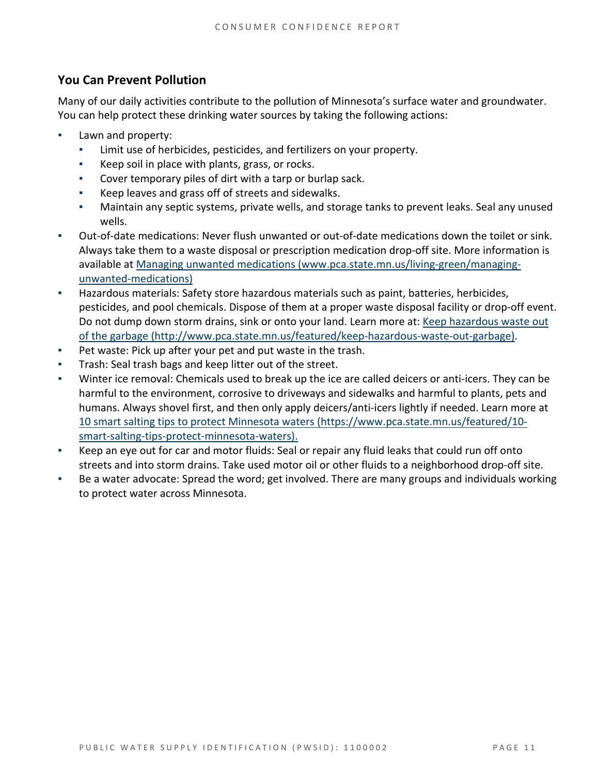# **You Can Prevent Pollution**

Many of our daily activities contribute to the pollution of Minnesota's surface water and groundwater. You can help protect these drinking water sources by taking the following actions:

- Lawn and property:
	- **EXEC** Limit use of herbicides, pesticides, and fertilizers on your property.
	- ▪ Keep soil in place with plants, grass, or rocks.
	- Cover temporary piles of dirt with a tarp or burlap sack.
	- ▪ Keep leaves and grass off of streets and sidewalks.
	- **•** Maintain any septic systems, private wells, and storage tanks to prevent leaks. Seal any unused wells.
- Out-of-date medications: Never flush unwanted or out-of-date medications down the toilet or sink. Always take them to a waste disposal or prescription medication drop‐off site. More information is available at Managing unwanted medications (www.pca.state.mn.us/living‐green/managing‐ unwanted‐medications)
- **EXECT Hazardous materials: Safety store hazardous materials such as paint, batteries, herbicides,** pesticides, and pool chemicals. Dispose of them at a proper waste disposal facility or drop-off event. Do not dump down storm drains, sink or onto your land. Learn more at: Keep hazardous waste out of the garbage (http://www.pca.state.mn.us/featured/keep‐hazardous‐waste‐out‐garbage).
- **•** Pet waste: Pick up after your pet and put waste in the trash.
- **Trash: Seal trash bags and keep litter out of the street.**
- Winter ice removal: Chemicals used to break up the ice are called deicers or anti-icers. They can be harmful to the environment, corrosive to driveways and sidewalks and harmful to plants, pets and humans. Always shovel first, and then only apply deicers/anti-icers lightly if needed. Learn more at 10 smart salting tips to protect Minnesota waters (https://www.pca.state.mn.us/featured/10‐ smart‐salting‐tips‐protect‐minnesota‐waters).
- **EXECT** Keep an eye out for car and motor fluids: Seal or repair any fluid leaks that could run off onto streets and into storm drains. Take used motor oil or other fluids to a neighborhood drop-off site.
- ▪ Be a water advocate: Spread the word; get involved. There are many groups and individuals working to protect water across Minnesota.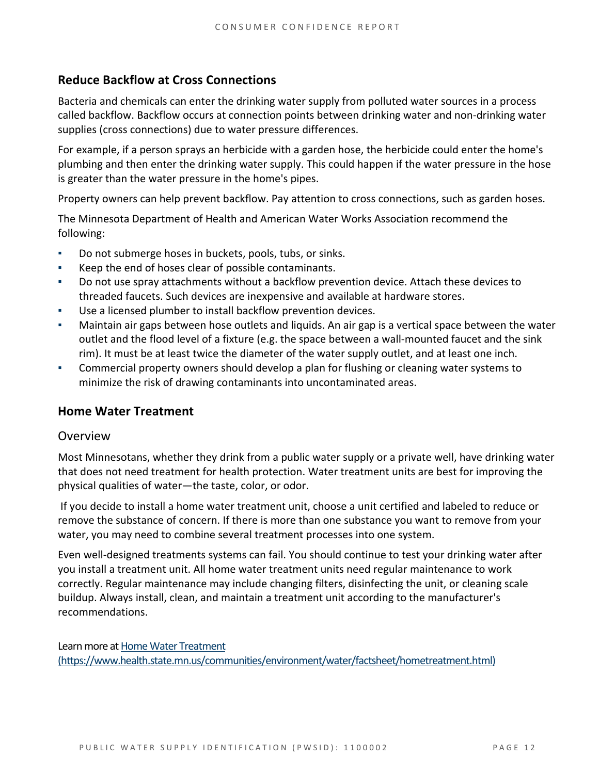# **Reduce Backflow at Cross Connections**

Bacteria and chemicals can enter the drinking water supply from polluted water sources in a process called backflow. Backflow occurs at connection points between drinking water and non‐drinking water supplies (cross connections) due to water pressure differences.

For example, if a person sprays an herbicide with a garden hose, the herbicide could enter the home's plumbing and then enter the drinking water supply. This could happen if the water pressure in the hose is greater than the water pressure in the home's pipes.

Property owners can help prevent backflow. Pay attention to cross connections, such as garden hoses.

The Minnesota Department of Health and American Water Works Association recommend the following:

- ▪ Do not submerge hoses in buckets, pools, tubs, or sinks.
- ▪ Keep the end of hoses clear of possible contaminants.
- ▪ Do not use spray attachments without a backflow prevention device. Attach these devices to threaded faucets. Such devices are inexpensive and available at hardware stores.
- ▪ Use a licensed plumber to install backflow prevention devices.
- **■** Maintain air gaps between hose outlets and liquids. An air gap is a vertical space between the water outlet and the flood level of a fixture (e.g. the space between a wall-mounted faucet and the sink rim). It must be at least twice the diameter of the water supply outlet, and at least one inch.
- **•** Commercial property owners should develop a plan for flushing or cleaning water systems to minimize the risk of drawing contaminants into uncontaminated areas.

### **Home Water Treatment**

#### Overview

Most Minnesotans, whether they drink from a public water supply or a private well, have drinking water that does not need treatment for health protection. Water treatment units are best for improving the physical qualities of water—the taste, color, or odor.

 If you decide to install a home water treatment unit, choose a unit certified and labeled to reduce or remove the substance of concern. If there is more than one substance you want to remove from your water, you may need to combine several treatment processes into one system.

Even well‐designed treatments systems can fail. You should continue to test your drinking water after you install a treatment unit. All home water treatment units need regular maintenance to work correctly. Regular maintenance may include changing filters, disinfecting the unit, or cleaning scale buildup. Always install, clean, and maintain a treatment unit according to the manufacturer's recommendations.

Learn more at Home Water Treatment (https://www.health.state.mn.us/communities/environment/water/factsheet/hometreatment.html)